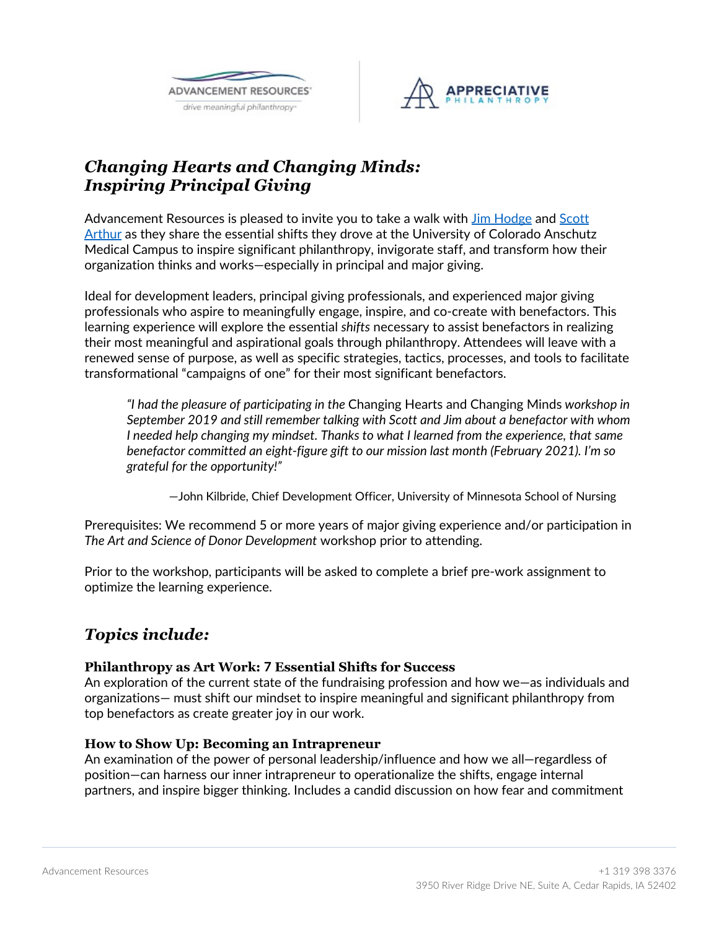



# *Changing Hearts and Changing Minds: Inspiring Principal Giving*

Advancement Resources is pleased to invite you to take a walk with *Jim Hodge* and Scott Arthur as they share the essential shifts they drove at the University of Colorado Anschutz Medical Campus to inspire significant philanthropy, invigorate staff, and transform how their organization thinks and works—especially in principal and major giving.

Ideal for development leaders, principal giving professionals, and experienced major giving professionals who aspire to meaningfully engage, inspire, and co-create with benefactors. This learning experience will explore the essential *shifts* necessary to assist benefactors in realizing their most meaningful and aspirational goals through philanthropy. Attendees will leave with a renewed sense of purpose, as well as specific strategies, tactics, processes, and tools to facilitate transformational "campaigns of one" for their most significant benefactors.

*"I had the pleasure of participating in the* Changing Hearts and Changing Minds *workshop in September 2019 and still remember talking with Scott and Jim about a benefactor with whom I* needed help changing my mindset. Thanks to what I learned from the experience, that same *benefactor committed an eight-figure gift to our mission last month (February 2021). I'm so grateful for the opportunity!"*

—John Kilbride, Chief Development Officer, University of Minnesota School of Nursing

Prerequisites: We recommend 5 or more years of major giving experience and/or participation in *The Art and Science of Donor Development* workshop prior to attending.

Prior to the workshop, participants will be asked to complete a brief pre-work assignment to optimize the learning experience.

## *Topics include:*

### **Philanthropy as Art Work: 7 Essential Shifts for Success**

An exploration of the current state of the fundraising profession and how we—as individuals and organizations— must shift our mindset to inspire meaningful and significant philanthropy from top benefactors as create greater joy in our work.

#### **How to Show Up: Becoming an Intrapreneur**

An examination of the power of personal leadership/influence and how we all—regardless of position—can harness our inner intrapreneur to operationalize the shifts, engage internal partners, and inspire bigger thinking. Includes a candid discussion on how fear and commitment